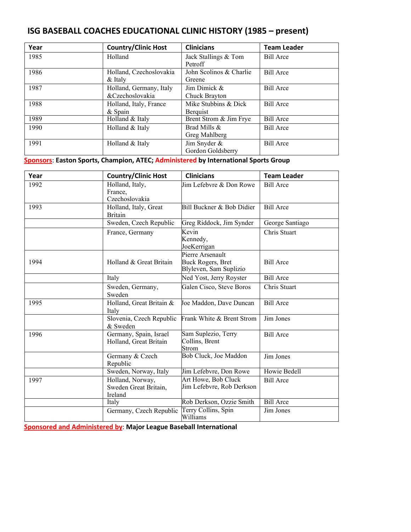# **ISG BASEBALL COACHES EDUCATIONAL CLINIC HISTORY (1985 – present)**

| Year | <b>Country/Clinic Host</b>                 | <b>Clinicians</b>                 | <b>Team Leader</b> |
|------|--------------------------------------------|-----------------------------------|--------------------|
| 1985 | Holland                                    | Jack Stallings & Tom<br>Petroff   | <b>Bill Arce</b>   |
| 1986 | Holland, Czechoslovakia<br>$&$ Italy       | John Scolinos & Charlie<br>Greene | <b>Bill Arce</b>   |
| 1987 | Holland, Germany, Italy<br>&Czechoslovakia | Jim Dimick &<br>Chuck Brayton     | <b>Bill Arce</b>   |
| 1988 | Holland, Italy, France<br>& Spain          | Mike Stubbins & Dick<br>Berguist  | <b>Bill Arce</b>   |
| 1989 | Holland & Italy                            | Brent Strom & Jim Frye            | <b>Bill</b> Arce   |
| 1990 | Holland & Italy                            | Brad Mills &<br>Greg Mahlberg     | <b>Bill Arce</b>   |
| 1991 | Holland & Italy                            | Jim Snyder &<br>Gordon Goldsberry | <b>Bill Arce</b>   |

**Sponsors**: **Easton Sports, Champion, ATEC; Administered by International Sports Group**

| Year | <b>Country/Clinic Host</b>                           | <b>Clinicians</b>                                               | <b>Team Leader</b> |
|------|------------------------------------------------------|-----------------------------------------------------------------|--------------------|
| 1992 | Holland, Italy,<br>France,<br>Czechoslovakia         | Jim Lefebvre & Don Rowe                                         | <b>Bill Arce</b>   |
| 1993 | Holland, Italy, Great<br><b>Britain</b>              | Bill Buckner & Bob Didier                                       | <b>Bill Arce</b>   |
|      | Sweden, Czech Republic                               | Greg Riddock, Jim Synder                                        | George Santiago    |
|      | France, Germany                                      | Kevin<br>Kennedy,<br>JoeKerrigan                                | Chris Stuart       |
| 1994 | Holland & Great Britain                              | Pierre Arsenault<br>Buck Rogers, Bret<br>Blyleven, Sam Suplizio | <b>Bill Arce</b>   |
|      | Italy                                                | Ned Yost, Jerry Royster                                         | <b>Bill Arce</b>   |
|      | Sweden, Germany,<br>Sweden                           | Galen Cisco, Steve Boros                                        | Chris Stuart       |
| 1995 | Holland, Great Britain &<br>Italy                    | Joe Maddon, Dave Duncan                                         | <b>Bill Arce</b>   |
|      | Slovenia, Czech Republic<br>& Sweden                 | Frank White & Brent Strom                                       | Jim Jones          |
| 1996 | Germany, Spain, Israel<br>Holland, Great Britain     | Sam Suplezio, Terry<br>Collins, Brent<br>Strom                  | <b>Bill Arce</b>   |
|      | Germany & Czech<br>Republic                          | Bob Cluck, Joe Maddon                                           | Jim Jones          |
|      | Sweden, Norway, Italy                                | Jim Lefebvre, Don Rowe                                          | Howie Bedell       |
| 1997 | Holland, Norway,<br>Sweden Great Britain,<br>Ireland | Art Howe, Bob Cluck<br>Jim Lefebvre, Rob Derkson                | <b>Bill Arce</b>   |
|      | Italy                                                | Rob Derkson, Ozzie Smith                                        | <b>Bill</b> Arce   |
|      | Germany, Czech Republic                              | Terry Collins, Spin<br>Williams                                 | Jim Jones          |

**Sponsored and Administered by**: **Major League Baseball International**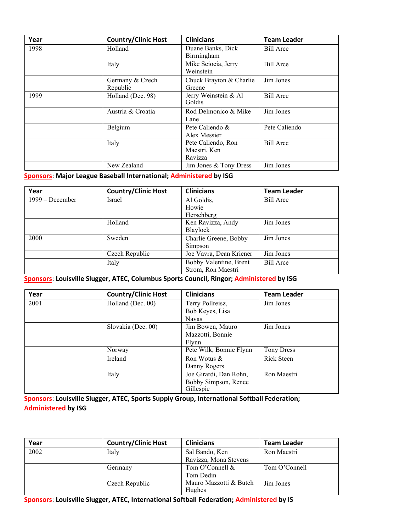| Year | <b>Country/Clinic Host</b>  | <b>Clinicians</b>                             | <b>Team Leader</b> |
|------|-----------------------------|-----------------------------------------------|--------------------|
| 1998 | Holland                     | Duane Banks, Dick<br>Birmingham               | <b>Bill Arce</b>   |
|      | Italy                       | Mike Sciocia, Jerry<br>Weinstein              | <b>Bill Arce</b>   |
|      | Germany & Czech<br>Republic | Chuck Brayton & Charlie<br>Greene             | Jim Jones          |
| 1999 | Holland (Dec. 98)           | Jerry Weinstein & Al<br>Goldis                | <b>Bill Arce</b>   |
|      | Austria & Croatia           | Rod Delmonico & Mike<br>Lane                  | Jim Jones          |
|      | Belgium                     | Pete Caliendo &<br>Alex Messier               | Pete Caliendo      |
|      | Italy                       | Pete Caliendo, Ron<br>Maestri, Ken<br>Ravizza | <b>Bill Arce</b>   |
|      | New Zealand                 | Jim Jones & Tony Dress                        | Jim Jones          |

### **Sponsors**: **Major League Baseball International; Administered by ISG**

| Year            | <b>Country/Clinic Host</b> | <b>Clinicians</b>       | <b>Team Leader</b> |
|-----------------|----------------------------|-------------------------|--------------------|
| 1999 – December | Israel                     | Al Goldis,              | <b>Bill Arce</b>   |
|                 |                            | Howie                   |                    |
|                 |                            | Herschberg              |                    |
|                 | Holland                    | Ken Ravizza, Andy       | Jim Jones          |
|                 |                            | Blaylock                |                    |
| 2000            | Sweden                     | Charlie Greene, Bobby   | Jim Jones          |
|                 |                            | Simpson                 |                    |
|                 | Czech Republic             | Joe Vavra, Dean Kriener | Jim Jones          |
|                 | Italy                      | Bobby Valentine, Brent  | Bill Arce          |
|                 |                            | Strom, Ron Maestri      |                    |

#### **Sponsors**: **Louisville Slugger, ATEC, Columbus Sports Council, Ringor; Administered by ISG**

| Year | <b>Country/Clinic Host</b> | <b>Clinicians</b>       | <b>Team Leader</b> |
|------|----------------------------|-------------------------|--------------------|
| 2001 | Holland (Dec. 00)          | Terry Pollreisz,        | Jim Jones          |
|      |                            | Bob Keyes, Lisa         |                    |
|      |                            | <b>Navas</b>            |                    |
|      | Slovakia (Dec. 00)         | Jim Bowen, Mauro        | Jim Jones          |
|      |                            | Mazzotti, Bonnie        |                    |
|      |                            | Flynn                   |                    |
|      | Norway                     | Pete Wilk, Bonnie Flynn | Tony Dress         |
|      | Ireland                    | Ron Wotus &             | Rick Steen         |
|      |                            | Danny Rogers            |                    |
|      | Italy                      | Joe Girardi, Dan Rohn,  | Ron Maestri        |
|      |                            | Bobby Simpson, Renee    |                    |
|      |                            | Gillespie               |                    |

**Sponsors**: **Louisville Slugger, ATEC, Sports Supply Group, International Softball Federation; Administered by ISG**

| Year | <b>Country/Clinic Host</b> | <b>Clinicians</b>                | <b>Team Leader</b> |
|------|----------------------------|----------------------------------|--------------------|
| 2002 | Italy                      | Sal Bando, Ken                   | Ron Maestri        |
|      |                            | Ravizza, Mona Stevens            |                    |
|      | Germany                    | Tom O'Connell &                  | Tom O'Connell      |
|      |                            | Tom Dedin                        |                    |
|      | Czech Republic             | Mauro Mazzotti & Butch<br>Hughes | Jim Jones          |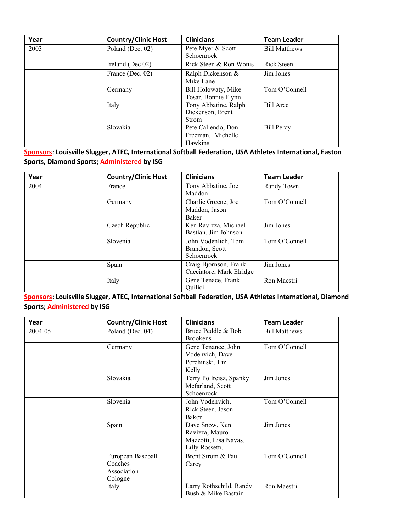| Year | <b>Country/Clinic Host</b> | <b>Clinicians</b>                                        | <b>Team Leader</b>   |
|------|----------------------------|----------------------------------------------------------|----------------------|
| 2003 | Poland (Dec. 02)           | Pete Myer & Scott<br>Schoenrock                          | <b>Bill Matthews</b> |
|      | Ireland (Dec 02)           | Rick Steen & Ron Wotus                                   | Rick Steen           |
|      | France (Dec. 02)           | Ralph Dickenson &<br>Mike Lane                           | Jim Jones            |
|      | Germany                    | Bill Holowaty, Mike<br>Tosar, Bonnie Flynn               | Tom O'Connell        |
|      | Italy                      | Tony Abbatine, Ralph<br>Dickenson, Brent<br><b>Strom</b> | <b>Bill Arce</b>     |
|      | Slovakia                   | Pete Caliendo, Don<br>Freeman, Michelle<br>Hawkins       | <b>Bill Percy</b>    |

**Sponsors**: **Louisville Slugger, ATEC, International Softball Federation, USA Athletes International, Easton Sports, Diamond Sports; Administered by ISG**

| Year | <b>Country/Clinic Host</b> | <b>Clinicians</b>                                   | <b>Team Leader</b> |
|------|----------------------------|-----------------------------------------------------|--------------------|
| 2004 | France                     | Tony Abbatine, Joe<br>Maddon                        | Randy Town         |
|      | Germany                    | Charlie Greene, Joe<br>Maddon, Jason<br>Baker       | Tom O'Connell      |
|      | Czech Republic             | Ken Ravizza, Michael<br>Bastian, Jim Johnson        | Jim Jones          |
|      | Slovenia                   | John Vodenlich, Tom<br>Brandon, Scott<br>Schoenrock | Tom O'Connell      |
|      | Spain                      | Craig Bjornson, Frank<br>Cacciatore, Mark Elridge   | Jim Jones          |
|      | Italy                      | Gene Tenace, Frank<br>Quilici                       | Ron Maestri        |

**Sponsors**: **Louisville Slugger, ATEC, International Softball Federation, USA Athletes International, Diamond Sports; Administered by ISG**

| Year    | <b>Country/Clinic Host</b>                             | <b>Clinicians</b>                                                            | <b>Team Leader</b>   |
|---------|--------------------------------------------------------|------------------------------------------------------------------------------|----------------------|
| 2004-05 | Poland (Dec. 04)                                       | Bruce Peddle & Bob<br><b>Brookens</b>                                        | <b>Bill Matthews</b> |
|         | Germany                                                | Gene Tenance, John<br>Vodenvich, Dave<br>Perchinski, Liz<br>Kelly            | Tom O'Connell        |
|         | Slovakia                                               | Terry Pollreisz, Spanky<br>Mcfarland, Scott<br>Schoenrock                    | Jim Jones            |
|         | Slovenia                                               | John Vodenvich,<br>Rick Steen, Jason<br>Baker                                | Tom O'Connell        |
|         | Spain                                                  | Dave Snow, Ken<br>Ravizza, Mauro<br>Mazzotti, Lisa Navas,<br>Lilly Rossetti, | Jim Jones            |
|         | European Baseball<br>Coaches<br>Association<br>Cologne | Brent Strom & Paul<br>Carey                                                  | Tom O'Connell        |
|         | Italy                                                  | Larry Rothschild, Randy<br>Bush & Mike Bastain                               | Ron Maestri          |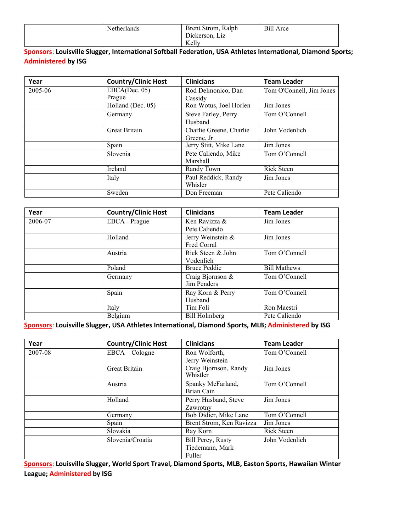| Netherlands | Brent Strom, Ralph        | Bill<br>Arce |
|-------------|---------------------------|--------------|
|             | Jickerson.<br>L1Z         |              |
|             | $\boldsymbol{V}$<br>Kelly |              |

#### **Sponsors**: **Louisville Slugger, International Softball Federation, USA Athletes International, Diamond Sports; Administered by ISG**

| Year    | <b>Country/Clinic Host</b> | <b>Clinicians</b>       | <b>Team Leader</b>       |
|---------|----------------------------|-------------------------|--------------------------|
| 2005-06 | EBCA(Dec. 05)              | Rod Delmonico, Dan      | Tom O'Connell, Jim Jones |
|         | Prague                     | Cassidy                 |                          |
|         | Holland (Dec. 05)          | Ron Wotus, Joel Horlen  | Jim Jones                |
|         | Germany                    | Steve Farley, Perry     | Tom O'Connell            |
|         |                            | Husband                 |                          |
|         | Great Britain              | Charlie Greene, Charlie | John Vodenlich           |
|         |                            | Greene, Jr.             |                          |
|         | Spain                      | Jerry Stitt, Mike Lane  | Jim Jones                |
|         | Slovenia                   | Pete Caliendo, Mike     | Tom O'Connell            |
|         |                            | Marshall                |                          |
|         | Ireland                    | Randy Town              | <b>Rick Steen</b>        |
|         | Italy                      | Paul Reddick, Randy     | Jim Jones                |
|         |                            | Whisler                 |                          |
|         | Sweden                     | Don Freeman             | Pete Caliendo            |

| Year    | <b>Country/Clinic Host</b> | <b>Clinicians</b>    | <b>Team Leader</b>  |
|---------|----------------------------|----------------------|---------------------|
| 2006-07 | EBCA - Prague              | Ken Ravizza &        | Jim Jones           |
|         |                            | Pete Caliendo        |                     |
|         | Holland                    | Jerry Weinstein &    | Jim Jones           |
|         |                            | Fred Corral          |                     |
|         | Austria                    | Rick Steen & John    | Tom O'Connell       |
|         |                            | Vodenlich            |                     |
|         | Poland                     | <b>Bruce Peddie</b>  | <b>Bill Mathews</b> |
|         | Germany                    | Craig Bjornson &     | Tom O'Connell       |
|         |                            | Jim Penders          |                     |
|         | Spain                      | Ray Korn & Perry     | Tom O'Connell       |
|         |                            | Husband              |                     |
|         | Italy                      | Tim Foli             | Ron Maestri         |
|         | Belgium                    | <b>Bill Holmberg</b> | Pete Caliendo       |

**Sponsors**: **Louisville Slugger, USA Athletes International, Diamond Sports, MLB; Administered by ISG**

| Year    | <b>Country/Clinic Host</b> | <b>Clinicians</b>                 | <b>Team Leader</b> |
|---------|----------------------------|-----------------------------------|--------------------|
| 2007-08 | $EBCA - Cologne$           | Ron Wolforth,                     | Tom O'Connell      |
|         |                            | Jerry Weinstein                   |                    |
|         | Great Britain              | Craig Bjornson, Randy<br>Whistler | Jim Jones          |
|         |                            |                                   |                    |
|         | Austria                    | Spanky McFarland,                 | Tom O'Connell      |
|         |                            | Brian Cain                        |                    |
|         | Holland                    | Perry Husband, Steve              | Jim Jones          |
|         |                            | Zawrotny                          |                    |
|         | Germany                    | Bob Didier, Mike Lane             | Tom O'Connell      |
|         | Spain                      | Brent Strom, Ken Ravizza          | Jim Jones          |
|         | Slovakia                   | Ray Korn                          | <b>Rick Steen</b>  |
|         | Slovenia/Croatia           | <b>Bill Percy, Rusty</b>          | John Vodenlich     |
|         |                            | Tiedemann, Mark                   |                    |
|         |                            | Fuller                            |                    |

**Sponsors**: **Louisville Slugger, World Sport Travel, Diamond Sports, MLB, Easton Sports, Hawaiian Winter League; Administered by ISG**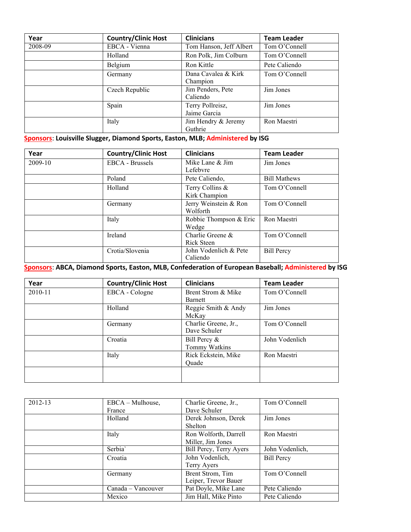| Year    | <b>Country/Clinic Host</b> | <b>Clinicians</b>                | <b>Team Leader</b> |
|---------|----------------------------|----------------------------------|--------------------|
| 2008-09 | EBCA - Vienna              | Tom Hanson, Jeff Albert          | Tom O'Connell      |
|         | Holland                    | Ron Polk, Jim Colburn            | Tom O'Connell      |
|         | Belgium                    | Ron Kittle                       | Pete Caliendo      |
|         | Germany                    | Dana Cavalea & Kirk<br>Champion  | Tom O'Connell      |
|         | Czech Republic             | Jim Penders, Pete<br>Caliendo    | Jim Jones          |
|         | Spain                      | Terry Pollreisz,<br>Jaime Garcia | Jim Jones          |
|         | Italy                      | Jim Hendry & Jeremy<br>Guthrie   | Ron Maestri        |

**Sponsors**: **Louisville Slugger, Diamond Sports, Easton, MLB; Administered by ISG**

| Year    | <b>Country/Clinic Host</b> | <b>Clinicians</b>                 | <b>Team Leader</b>  |
|---------|----------------------------|-----------------------------------|---------------------|
| 2009-10 | EBCA - Brussels            | Mike Lane & Jim<br>Lefebvre       | Jim Jones           |
|         | Poland                     | Pete Caliendo,                    | <b>Bill Mathews</b> |
|         | Holland                    | Terry Collins &<br>Kirk Champion  | Tom O'Connell       |
|         | Germany                    | Jerry Weinstein & Ron<br>Wolforth | Tom O'Connell       |
|         | Italy                      | Robbie Thompson & Eric<br>Wedge   | Ron Maestri         |
|         | Ireland                    | Charlie Greene &<br>Rick Steen    | Tom O'Connell       |
|         | Crotia/Slovenia            | John Vodenlich & Pete<br>Caliendo | <b>Bill Percy</b>   |

## **Sponsors**: **ABCA, Diamond Sports, Easton, MLB, Confederation of European Baseball; Administered by ISG**

| Year    | <b>Country/Clinic Host</b> | <b>Clinicians</b>    | <b>Team Leader</b> |
|---------|----------------------------|----------------------|--------------------|
| 2010-11 | EBCA - Cologne             | Brent Strom & Mike   | Tom O'Connell      |
|         |                            | <b>Barnett</b>       |                    |
|         | Holland                    | Reggie Smith & Andy  | Jim Jones          |
|         |                            | McKay                |                    |
|         | Germany                    | Charlie Greene, Jr., | Tom O'Connell      |
|         |                            | Dave Schuler         |                    |
|         | Croatia                    | Bill Percy &         | John Vodenlich     |
|         |                            | Tommy Watkins        |                    |
|         | Italy                      | Rick Eckstein, Mike  | Ron Maestri        |
|         |                            | Quade                |                    |
|         |                            |                      |                    |
|         |                            |                      |                    |

| 2012-13 | EBCA – Mulhouse,   | Charlie Greene, Jr.,    | Tom O'Connell     |
|---------|--------------------|-------------------------|-------------------|
|         | France             | Dave Schuler            |                   |
|         | Holland            | Derek Johnson, Derek    | Jim Jones         |
|         |                    | Shelton                 |                   |
|         | Italy              | Ron Wolforth, Darrell   | Ron Maestri       |
|         |                    | Miller, Jim Jones       |                   |
|         | Serbia'            | Bill Percy, Terry Ayers | John Vodenlich,   |
|         | Croatia            | John Vodenlich,         | <b>Bill Percy</b> |
|         |                    | Terry Ayers             |                   |
|         | Germany            | Brent Strom, Tim        | Tom O'Connell     |
|         |                    | Leiper, Trevor Bauer    |                   |
|         | Canada – Vancouver | Pat Doyle, Mike Lane    | Pete Caliendo     |
|         | Mexico             | Jim Hall, Mike Pinto    | Pete Caliendo     |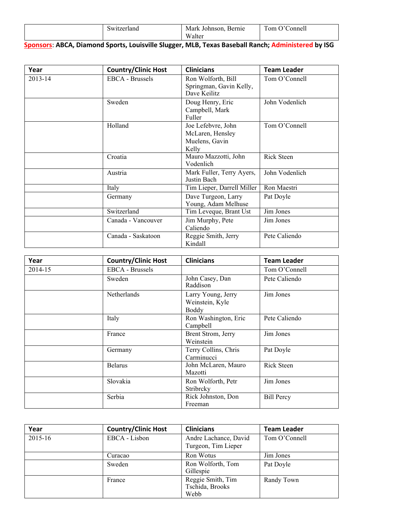| $\sim$<br>LE 1 C | ohnson<br>$\sim$ and $\sim$ $\sim$<br>Mark<br>`h | $\bullet$<br>$\sim$<br>$\sim$<br>.<br>$\sim$ 400 $\sigma$<br>$\cdot$ 1 $\sim$ |
|------------------|--------------------------------------------------|-------------------------------------------------------------------------------|
|                  | A.                                               |                                                                               |

## **Sponsors**: **ABCA, Diamond Sports, Louisville Slugger, MLB, Texas Baseball Ranch; Administered by ISG**

| Year    | <b>Country/Clinic Host</b> | <b>Clinicians</b>                                                 | <b>Team Leader</b> |
|---------|----------------------------|-------------------------------------------------------------------|--------------------|
| 2013-14 | <b>EBCA</b> - Brussels     | Ron Wolforth, Bill<br>Springman, Gavin Kelly,<br>Dave Keilitz     | Tom O'Connell      |
|         | Sweden                     | Doug Henry, Eric<br>Campbell, Mark<br>Fuller                      | John Vodenlich     |
|         | Holland                    | Joe Lefebvre, John<br>McLaren, Hensley<br>Muelens, Gavin<br>Kelly | Tom O'Connell      |
|         | Croatia                    | Mauro Mazzotti, John<br>Vodenlich                                 | Rick Steen         |
|         | Austria                    | Mark Fuller, Terry Ayers,<br>Justin Bach                          | John Vodenlich     |
|         | Italy                      | Tim Lieper, Darrell Miller                                        | Ron Maestri        |
|         | Germany                    | Dave Turgeon, Larry<br>Young, Adam Melhuse                        | Pat Doyle          |
|         | Switzerland                | Tim Leveque, Brant Ust                                            | Jim Jones          |
|         | Canada - Vancouver         | Jim Murphy, Pete<br>Caliendo                                      | Jim Jones          |
|         | Canada - Saskatoon         | Reggie Smith, Jerry<br>Kindall                                    | Pete Caliendo      |

| Year    | <b>Country/Clinic Host</b> | <b>Clinicians</b>                              | <b>Team Leader</b> |
|---------|----------------------------|------------------------------------------------|--------------------|
| 2014-15 | <b>EBCA</b> - Brussels     |                                                | Tom O'Connell      |
|         | Sweden                     | John Casey, Dan<br>Raddison                    | Pete Caliendo      |
|         | Netherlands                | Larry Young, Jerry<br>Weinstein, Kyle<br>Boddy | Jim Jones          |
|         | Italy                      | Ron Washington, Eric<br>Campbell               | Pete Caliendo      |
|         | France                     | Brent Strom, Jerry<br>Weinstein                | Jim Jones          |
|         | Germany                    | Terry Collins, Chris<br>Carminucci             | Pat Doyle          |
|         | <b>Belarus</b>             | John McLaren, Mauro<br>Mazotti                 | Rick Steen         |
|         | Slovakia                   | Ron Wolforth, Petr<br>Stribrcky                | Jim Jones          |
|         | Serbia                     | Rick Johnston, Don<br>Freeman                  | <b>Bill Percy</b>  |

| Year    | <b>Country/Clinic Host</b> | <b>Clinicians</b>                            | <b>Team Leader</b> |
|---------|----------------------------|----------------------------------------------|--------------------|
| 2015-16 | EBCA - Lisbon              | Andre Lachance, David<br>Turgeon, Tim Lieper | Tom O'Connell      |
|         | Curacao                    | Ron Wotus                                    | Jim Jones          |
|         | Sweden                     | Ron Wolforth, Tom<br>Gillespie               | Pat Doyle          |
|         | France                     | Reggie Smith, Tim<br>Tschida, Brooks<br>Webb | Randy Town         |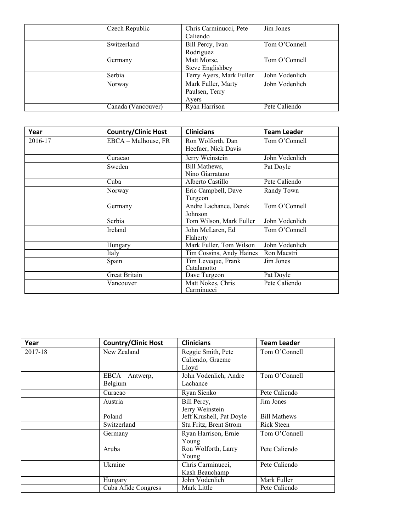| Czech Republic     | Chris Carminucci, Pete   | Jim Jones      |
|--------------------|--------------------------|----------------|
|                    | Caliendo                 |                |
| Switzerland        | Bill Percy, Ivan         | Tom O'Connell  |
|                    | Rodriguez                |                |
| Germany            | Matt Morse,              | Tom O'Connell  |
|                    | Steve Englishbey         |                |
| Serbia             | Terry Ayers, Mark Fuller | John Vodenlich |
| Norway             | Mark Fuller, Marty       | John Vodenlich |
|                    | Paulsen, Terry           |                |
|                    | Ayers                    |                |
| Canada (Vancouver) | Ryan Harrison            | Pete Caliendo  |

| Year    | <b>Country/Clinic Host</b> | <b>Clinicians</b>                        | <b>Team Leader</b> |
|---------|----------------------------|------------------------------------------|--------------------|
| 2016-17 | EBCA – Mulhouse, FR        | Ron Wolforth, Dan<br>Heefner, Nick Davis | Tom O'Connell      |
|         | Curacao                    | Jerry Weinstein                          | John Vodenlich     |
|         | Sweden                     | Bill Mathews,<br>Nino Giarratano         | Pat Doyle          |
|         | Cuba                       | Alberto Castillo                         | Pete Caliendo      |
|         | Norway                     | Eric Campbell, Dave<br>Turgeon           | Randy Town         |
|         | Germany                    | Andre Lachance, Derek<br>Johnson         | Tom O'Connell      |
|         | Serbia                     | Tom Wilson, Mark Fuller                  | John Vodenlich     |
|         | Ireland                    | John McLaren, Ed<br>Flaherty             | Tom O'Connell      |
|         | Hungary                    | Mark Fuller, Tom Wilson                  | John Vodenlich     |
|         | Italy                      | Tim Cossins, Andy Haines                 | Ron Maestri        |
|         | Spain                      | Tim Leveque, Frank<br>Catalanotto        | Jim Jones          |
|         | Great Britain              | Dave Turgeon                             | Pat Doyle          |
|         | Vancouver                  | Matt Nokes, Chris<br>Carminucci          | Pete Caliendo      |

| Year    | <b>Country/Clinic Host</b> | <b>Clinicians</b>                          | <b>Team Leader</b>  |
|---------|----------------------------|--------------------------------------------|---------------------|
| 2017-18 | New Zealand                | Reggie Smith, Pete<br>Caliendo, Graeme     | Tom O'Connell       |
|         | EBCA - Antwerp,<br>Belgium | Lloyd<br>John Vodenlich, Andre<br>Lachance | Tom O'Connell       |
|         | Curacao                    | Ryan Sienko                                | Pete Caliendo       |
|         | Austria                    | Bill Percy,<br>Jerry Weinstein             | Jim Jones           |
|         | Poland                     | Jeff Krushell, Pat Doyle                   | <b>Bill Mathews</b> |
|         | Switzerland                | Stu Fritz, Brent Strom                     | Rick Steen          |
|         | Germany                    | Ryan Harrison, Ernie<br>Young              | Tom O'Connell       |
|         | Aruba                      | Ron Wolforth, Larry<br>Young               | Pete Caliendo       |
|         | Ukraine                    | Chris Carminucci,<br>Kash Beauchamp        | Pete Caliendo       |
|         | Hungary                    | John Vodenlich                             | Mark Fuller         |
|         | Cuba Afide Congress        | Mark Little                                | Pete Caliendo       |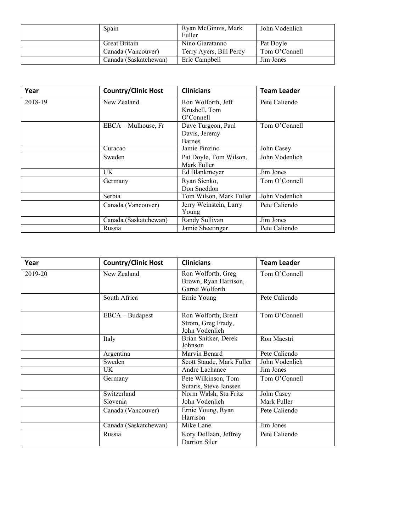| Spain                 | Ryan McGinnis, Mark<br>Fuller | John Vodenlich |
|-----------------------|-------------------------------|----------------|
| Great Britain         | Nino Giaratanno               | Pat Dovle      |
| Canada (Vancouver)    | Terry Ayers, Bill Percy       | Tom O'Connell  |
| Canada (Saskatchewan) | Eric Campbell                 | Jim Jones      |

| Year    | <b>Country/Clinic Host</b> | <b>Clinicians</b>                                    | <b>Team Leader</b> |
|---------|----------------------------|------------------------------------------------------|--------------------|
| 2018-19 | New Zealand                | Ron Wolforth, Jeff<br>Krushell, Tom<br>$O'$ Connell  | Pete Caliendo      |
|         | $EBCA - Mulhouse, Fr$      | Dave Turgeon, Paul<br>Davis, Jeremy<br><b>Barnes</b> | Tom O'Connell      |
|         | Curacao                    | Jamie Pinzino                                        | John Casey         |
|         | Sweden                     | Pat Doyle, Tom Wilson,<br>Mark Fuller                | John Vodenlich     |
|         | UK.                        | Ed Blankmeyer                                        | Jim Jones          |
|         | Germany                    | Ryan Sienko,<br>Don Sneddon                          | Tom O'Connell      |
|         | Serbia                     | Tom Wilson, Mark Fuller                              | John Vodenlich     |
|         | Canada (Vancouver)         | Jerry Weinstein, Larry<br>Young                      | Pete Caliendo      |
|         | Canada (Saskatchewan)      | Randy Sullivan                                       | Jim Jones          |
|         | Russia                     | Jamie Sheetinger                                     | Pete Caliendo      |

| Year    | <b>Country/Clinic Host</b> | <b>Clinicians</b>                                              | <b>Team Leader</b> |
|---------|----------------------------|----------------------------------------------------------------|--------------------|
| 2019-20 | New Zealand                | Ron Wolforth, Greg<br>Brown, Ryan Harrison,<br>Garret Wolforth | Tom O'Connell      |
|         | South Africa               | Ernie Young                                                    | Pete Caliendo      |
|         | EBCA - Budapest            | Ron Wolforth, Brent<br>Strom, Greg Frady,<br>John Vodenlich    | Tom O'Connell      |
|         | Italy                      | Brian Snitker, Derek<br>Johnson                                | Ron Maestri        |
|         | Argentina                  | Marvin Benard                                                  | Pete Caliendo      |
|         | Sweden                     | Scott Staude, Mark Fuller                                      | John Vodenlich     |
|         | UK.                        | Andre Lachance                                                 | Jim Jones          |
|         | Germany                    | Pete Wilkinson, Tom<br>Sutaris, Steve Janssen                  | Tom O'Connell      |
|         | Switzerland                | Norm Walsh, Stu Fritz                                          | John Casey         |
|         | Slovenia                   | John Vodenlich                                                 | Mark Fuller        |
|         | Canada (Vancouver)         | Ernie Young, Ryan<br>Harrison                                  | Pete Caliendo      |
|         | Canada (Saskatchewan)      | Mike Lane                                                      | Jim Jones          |
|         | Russia                     | Kory DeHaan, Jeffrey<br>Darrion Siler                          | Pete Caliendo      |